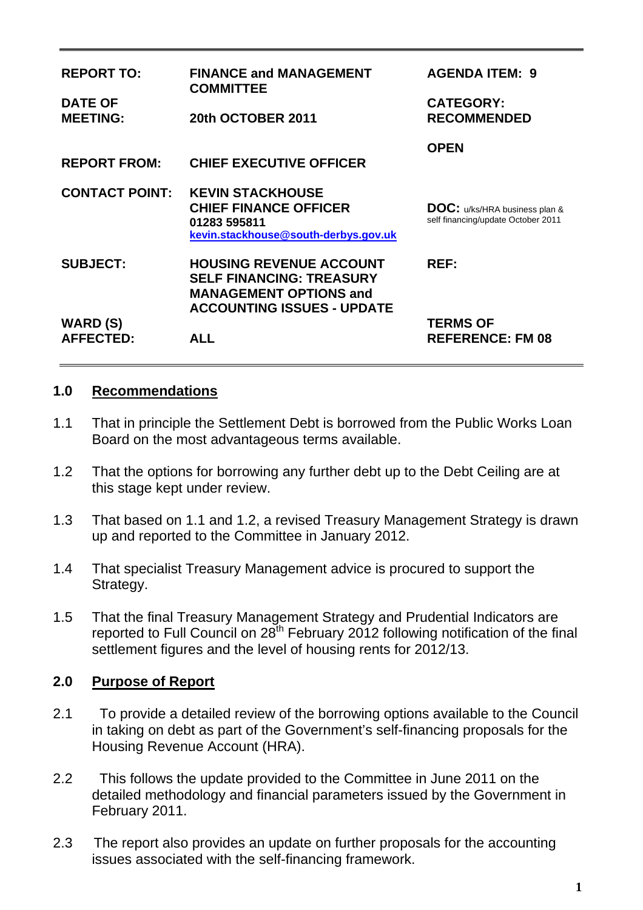| <b>REPORT TO:</b>                   | <b>FINANCE and MANAGEMENT</b><br><b>COMMITTEE</b>                                                                                       | <b>AGENDA ITEM: 9</b>                                                      |  |
|-------------------------------------|-----------------------------------------------------------------------------------------------------------------------------------------|----------------------------------------------------------------------------|--|
| <b>DATE OF</b><br><b>MEETING:</b>   | 20th OCTOBER 2011                                                                                                                       | <b>CATEGORY:</b><br><b>RECOMMENDED</b>                                     |  |
| <b>REPORT FROM:</b>                 | <b>CHIEF EXECUTIVE OFFICER</b>                                                                                                          | <b>OPEN</b>                                                                |  |
| <b>CONTACT POINT:</b>               | <b>KEVIN STACKHOUSE</b><br><b>CHIEF FINANCE OFFICER</b><br>01283 595811<br>kevin.stackhouse@south-derbys.gov.uk                         | <b>DOC:</b> u/ks/HRA business plan &<br>self financing/update October 2011 |  |
| <b>SUBJECT:</b>                     | <b>HOUSING REVENUE ACCOUNT</b><br><b>SELF FINANCING: TREASURY</b><br><b>MANAGEMENT OPTIONS and</b><br><b>ACCOUNTING ISSUES - UPDATE</b> | REF:                                                                       |  |
| <b>WARD (S)</b><br><b>AFFECTED:</b> | ALL                                                                                                                                     | <b>TERMS OF</b><br><b>REFERENCE: FM 08</b>                                 |  |

#### **1.0 Recommendations**

- 1.1 That in principle the Settlement Debt is borrowed from the Public Works Loan Board on the most advantageous terms available.
- 1.2 That the options for borrowing any further debt up to the Debt Ceiling are at this stage kept under review.
- 1.3 That based on 1.1 and 1.2, a revised Treasury Management Strategy is drawn up and reported to the Committee in January 2012.
- 1.4 That specialist Treasury Management advice is procured to support the Strategy.
- 1.5 That the final Treasury Management Strategy and Prudential Indicators are reported to Full Council on  $28^{th}$  February 2012 following notification of the final settlement figures and the level of housing rents for 2012/13.

### **2.0 Purpose of Report**

- 2.1 To provide a detailed review of the borrowing options available to the Council in taking on debt as part of the Government's self-financing proposals for the Housing Revenue Account (HRA).
- 2.2 This follows the update provided to the Committee in June 2011 on the detailed methodology and financial parameters issued by the Government in February 2011.
- 2.3 The report also provides an update on further proposals for the accounting issues associated with the self-financing framework.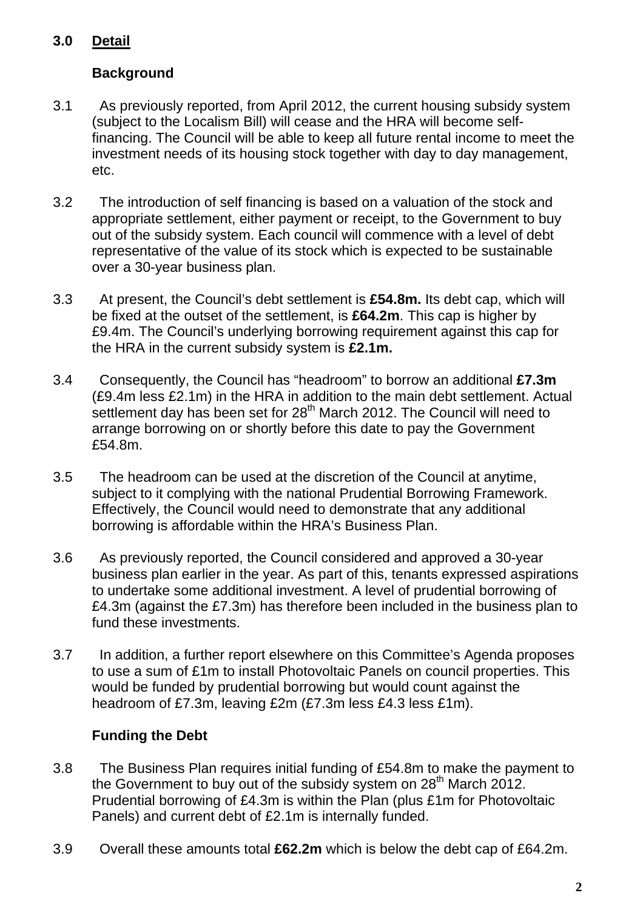# **3.0 Detail**

## **Background**

- 3.1 As previously reported, from April 2012, the current housing subsidy system (subject to the Localism Bill) will cease and the HRA will become selffinancing. The Council will be able to keep all future rental income to meet the investment needs of its housing stock together with day to day management, etc.
- 3.2 The introduction of self financing is based on a valuation of the stock and appropriate settlement, either payment or receipt, to the Government to buy out of the subsidy system. Each council will commence with a level of debt representative of the value of its stock which is expected to be sustainable over a 30-year business plan.
- 3.3 At present, the Council's debt settlement is **£54.8m.** Its debt cap, which will be fixed at the outset of the settlement, is **£64.2m**. This cap is higher by £9.4m. The Council's underlying borrowing requirement against this cap for the HRA in the current subsidy system is **£2.1m.**
- 3.4 Consequently, the Council has "headroom" to borrow an additional **£7.3m** (£9.4m less £2.1m) in the HRA in addition to the main debt settlement. Actual settlement day has been set for  $28<sup>th</sup>$  March 2012. The Council will need to arrange borrowing on or shortly before this date to pay the Government £54.8m.
- 3.5 The headroom can be used at the discretion of the Council at anytime, subject to it complying with the national Prudential Borrowing Framework. Effectively, the Council would need to demonstrate that any additional borrowing is affordable within the HRA's Business Plan.
- 3.6 As previously reported, the Council considered and approved a 30-year business plan earlier in the year. As part of this, tenants expressed aspirations to undertake some additional investment. A level of prudential borrowing of £4.3m (against the £7.3m) has therefore been included in the business plan to fund these investments.
- 3.7 In addition, a further report elsewhere on this Committee's Agenda proposes to use a sum of £1m to install Photovoltaic Panels on council properties. This would be funded by prudential borrowing but would count against the headroom of £7.3m, leaving £2m (£7.3m less £4.3 less £1m).

# **Funding the Debt**

- 3.8 The Business Plan requires initial funding of £54.8m to make the payment to the Government to buy out of the subsidy system on  $28<sup>th</sup>$  March  $2012$ . Prudential borrowing of £4.3m is within the Plan (plus £1m for Photovoltaic Panels) and current debt of £2.1m is internally funded.
- 3.9 Overall these amounts total **£62.2m** which is below the debt cap of £64.2m.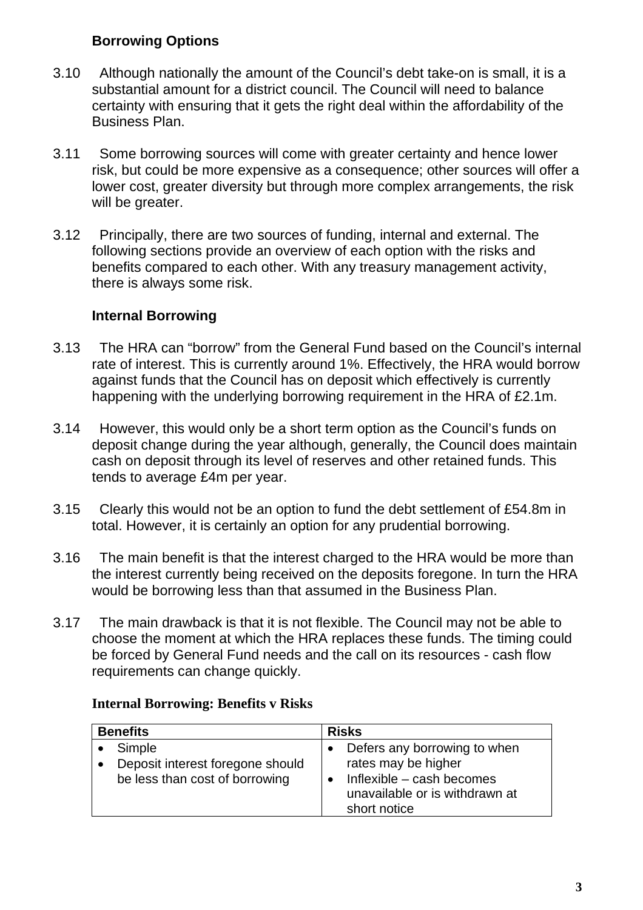### **Borrowing Options**

- 3.10 Although nationally the amount of the Council's debt take-on is small, it is a substantial amount for a district council. The Council will need to balance certainty with ensuring that it gets the right deal within the affordability of the Business Plan.
- 3.11 Some borrowing sources will come with greater certainty and hence lower risk, but could be more expensive as a consequence; other sources will offer a lower cost, greater diversity but through more complex arrangements, the risk will be greater.
- 3.12 Principally, there are two sources of funding, internal and external. The following sections provide an overview of each option with the risks and benefits compared to each other. With any treasury management activity, there is always some risk.

### **Internal Borrowing**

- 3.13 The HRA can "borrow" from the General Fund based on the Council's internal rate of interest. This is currently around 1%. Effectively, the HRA would borrow against funds that the Council has on deposit which effectively is currently happening with the underlying borrowing requirement in the HRA of £2.1m.
- 3.14 However, this would only be a short term option as the Council's funds on deposit change during the year although, generally, the Council does maintain cash on deposit through its level of reserves and other retained funds. This tends to average £4m per year.
- 3.15 Clearly this would not be an option to fund the debt settlement of £54.8m in total. However, it is certainly an option for any prudential borrowing.
- 3.16 The main benefit is that the interest charged to the HRA would be more than the interest currently being received on the deposits foregone. In turn the HRA would be borrowing less than that assumed in the Business Plan.
- 3.17 The main drawback is that it is not flexible. The Council may not be able to choose the moment at which the HRA replaces these funds. The timing could be forced by General Fund needs and the call on its resources - cash flow requirements can change quickly.

#### **Internal Borrowing: Benefits v Risks**

| <b>Benefits</b>                                                    | <b>Risks</b>                                                                |
|--------------------------------------------------------------------|-----------------------------------------------------------------------------|
| Simple                                                             | Defers any borrowing to when<br>rates may be higher                         |
| Deposit interest foregone should<br>be less than cost of borrowing | Inflexible - cash becomes<br>unavailable or is withdrawn at<br>short notice |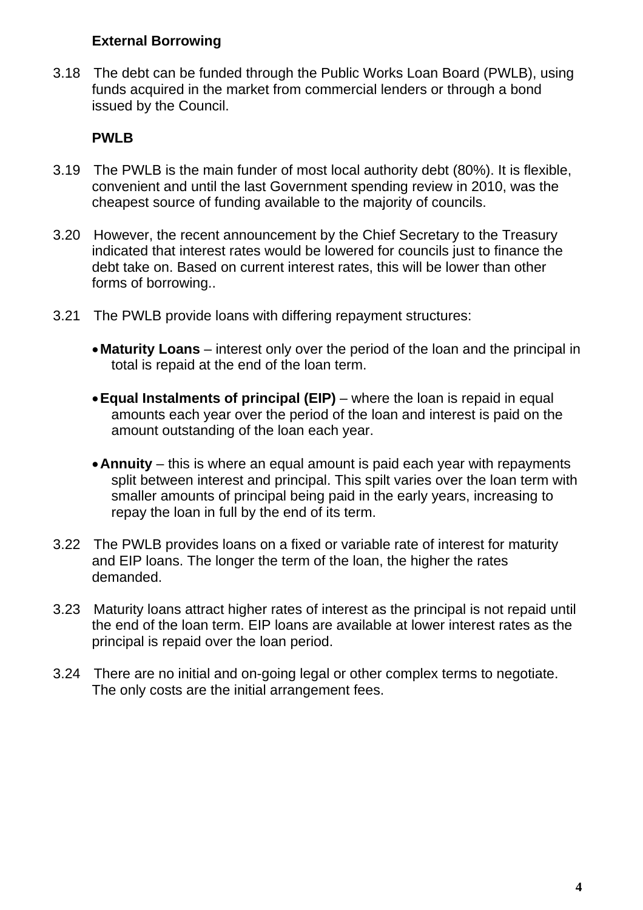#### **External Borrowing**

3.18 The debt can be funded through the Public Works Loan Board (PWLB), using funds acquired in the market from commercial lenders or through a bond issued by the Council.

## **PWLB**

- 3.19 The PWLB is the main funder of most local authority debt (80%). It is flexible, convenient and until the last Government spending review in 2010, was the cheapest source of funding available to the majority of councils.
- 3.20 However, the recent announcement by the Chief Secretary to the Treasury indicated that interest rates would be lowered for councils just to finance the debt take on. Based on current interest rates, this will be lower than other forms of borrowing..
- 3.21 The PWLB provide loans with differing repayment structures:
	- **Maturity Loans** interest only over the period of the loan and the principal in total is repaid at the end of the loan term.
	- **Equal Instalments of principal (EIP)** where the loan is repaid in equal amounts each year over the period of the loan and interest is paid on the amount outstanding of the loan each year.
	- **Annuity**  this is where an equal amount is paid each year with repayments split between interest and principal. This spilt varies over the loan term with smaller amounts of principal being paid in the early years, increasing to repay the loan in full by the end of its term.
- 3.22 The PWLB provides loans on a fixed or variable rate of interest for maturity and EIP loans. The longer the term of the loan, the higher the rates demanded.
- 3.23 Maturity loans attract higher rates of interest as the principal is not repaid until the end of the loan term. EIP loans are available at lower interest rates as the principal is repaid over the loan period.
- 3.24 There are no initial and on-going legal or other complex terms to negotiate. The only costs are the initial arrangement fees.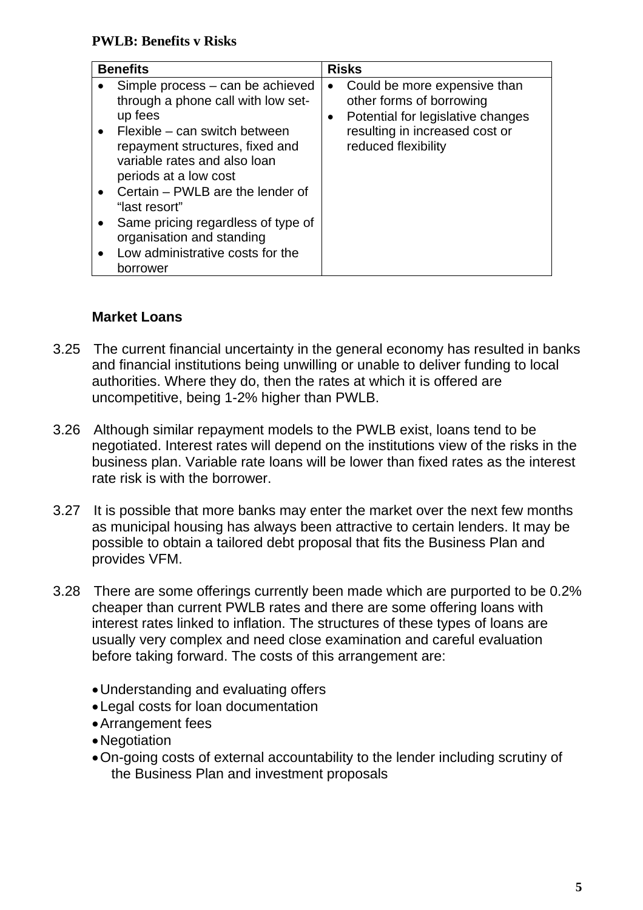# **Market Loans**

- 3.25 The current financial uncertainty in the general economy has resulted in banks and financial institutions being unwilling or unable to deliver funding to local authorities. Where they do, then the rates at which it is offered are uncompetitive, being 1-2% higher than PWLB.
- 3.26 Although similar repayment models to the PWLB exist, loans tend to be negotiated. Interest rates will depend on the institutions view of the risks in the business plan. Variable rate loans will be lower than fixed rates as the interest rate risk is with the borrower.
- 3.27 It is possible that more banks may enter the market over the next few months as municipal housing has always been attractive to certain lenders. It may be possible to obtain a tailored debt proposal that fits the Business Plan and provides VFM.
- 3.28 There are some offerings currently been made which are purported to be 0.2% cheaper than current PWLB rates and there are some offering loans with interest rates linked to inflation. The structures of these types of loans are usually very complex and need close examination and careful evaluation before taking forward. The costs of this arrangement are:
	- Understanding and evaluating offers
	- Legal costs for loan documentation
	- Arrangement fees
	- Negotiation
	- On-going costs of external accountability to the lender including scrutiny of the Business Plan and investment proposals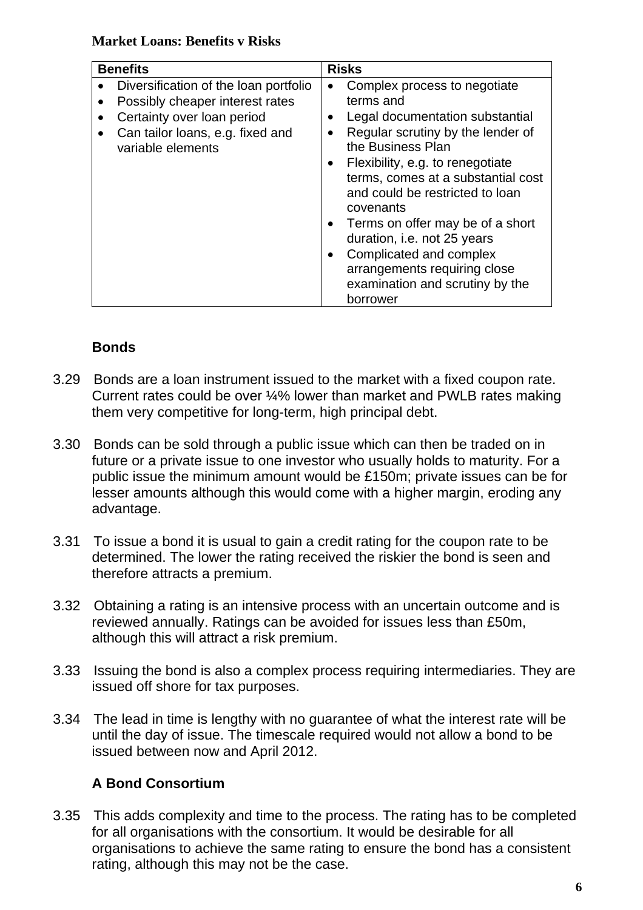#### **Market Loans: Benefits v Risks**

| <b>Benefits</b>                                                                                                                                                 | <b>Risks</b>                                                                                                                                                                                                                                                                                                                                                                                                                                  |
|-----------------------------------------------------------------------------------------------------------------------------------------------------------------|-----------------------------------------------------------------------------------------------------------------------------------------------------------------------------------------------------------------------------------------------------------------------------------------------------------------------------------------------------------------------------------------------------------------------------------------------|
| Diversification of the loan portfolio<br>Possibly cheaper interest rates<br>Certainty over loan period<br>Can tailor loans, e.g. fixed and<br>variable elements | Complex process to negotiate<br>terms and<br>Legal documentation substantial<br>Regular scrutiny by the lender of<br>the Business Plan<br>Flexibility, e.g. to renegotiate<br>terms, comes at a substantial cost<br>and could be restricted to loan<br>covenants<br>Terms on offer may be of a short<br>duration, i.e. not 25 years<br>Complicated and complex<br>arrangements requiring close<br>examination and scrutiny by the<br>borrower |

### **Bonds**

- 3.29 Bonds are a loan instrument issued to the market with a fixed coupon rate. Current rates could be over ¼% lower than market and PWLB rates making them very competitive for long-term, high principal debt.
- 3.30 Bonds can be sold through a public issue which can then be traded on in future or a private issue to one investor who usually holds to maturity. For a public issue the minimum amount would be £150m; private issues can be for lesser amounts although this would come with a higher margin, eroding any advantage.
- 3.31 To issue a bond it is usual to gain a credit rating for the coupon rate to be determined. The lower the rating received the riskier the bond is seen and therefore attracts a premium.
- 3.32 Obtaining a rating is an intensive process with an uncertain outcome and is reviewed annually. Ratings can be avoided for issues less than £50m, although this will attract a risk premium.
- 3.33 Issuing the bond is also a complex process requiring intermediaries. They are issued off shore for tax purposes.
- 3.34 The lead in time is lengthy with no guarantee of what the interest rate will be until the day of issue. The timescale required would not allow a bond to be issued between now and April 2012.

### **A Bond Consortium**

3.35 This adds complexity and time to the process. The rating has to be completed for all organisations with the consortium. It would be desirable for all organisations to achieve the same rating to ensure the bond has a consistent rating, although this may not be the case.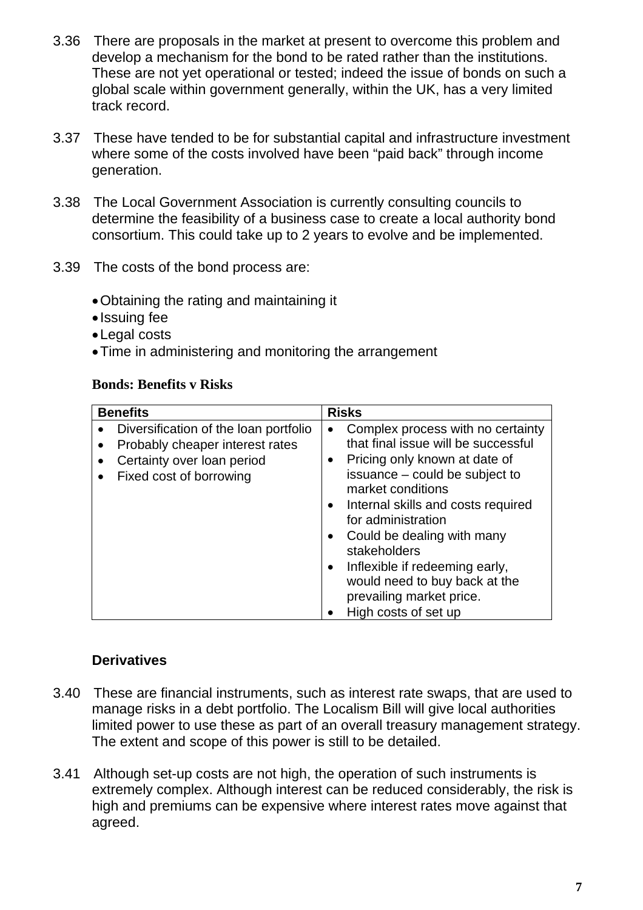- 3.36 There are proposals in the market at present to overcome this problem and develop a mechanism for the bond to be rated rather than the institutions. These are not yet operational or tested; indeed the issue of bonds on such a global scale within government generally, within the UK, has a very limited track record.
- 3.37 These have tended to be for substantial capital and infrastructure investment where some of the costs involved have been "paid back" through income generation.
- 3.38 The Local Government Association is currently consulting councils to determine the feasibility of a business case to create a local authority bond consortium. This could take up to 2 years to evolve and be implemented.
- 3.39 The costs of the bond process are:
	- Obtaining the rating and maintaining it
	- Issuing fee
	- Legal costs
	- Time in administering and monitoring the arrangement

#### **Bonds: Benefits v Risks**

|           | <b>Benefits</b>                                                                                                                   | <b>Risks</b>                                                                                                                                                                                                                                                                                                                                                     |
|-----------|-----------------------------------------------------------------------------------------------------------------------------------|------------------------------------------------------------------------------------------------------------------------------------------------------------------------------------------------------------------------------------------------------------------------------------------------------------------------------------------------------------------|
| $\bullet$ | Diversification of the loan portfolio<br>Probably cheaper interest rates<br>Certainty over loan period<br>Fixed cost of borrowing | Complex process with no certainty<br>$\bullet$<br>that final issue will be successful<br>Pricing only known at date of<br>$\bullet$<br>issuance – could be subject to<br>market conditions<br>Internal skills and costs required<br>$\bullet$<br>for administration<br>Could be dealing with many<br>stakeholders<br>Inflexible if redeeming early,<br>$\bullet$ |
|           |                                                                                                                                   | would need to buy back at the<br>prevailing market price.                                                                                                                                                                                                                                                                                                        |
|           |                                                                                                                                   | High costs of set up                                                                                                                                                                                                                                                                                                                                             |

### **Derivatives**

- 3.40 These are financial instruments, such as interest rate swaps, that are used to manage risks in a debt portfolio. The Localism Bill will give local authorities limited power to use these as part of an overall treasury management strategy. The extent and scope of this power is still to be detailed.
- 3.41 Although set-up costs are not high, the operation of such instruments is extremely complex. Although interest can be reduced considerably, the risk is high and premiums can be expensive where interest rates move against that agreed.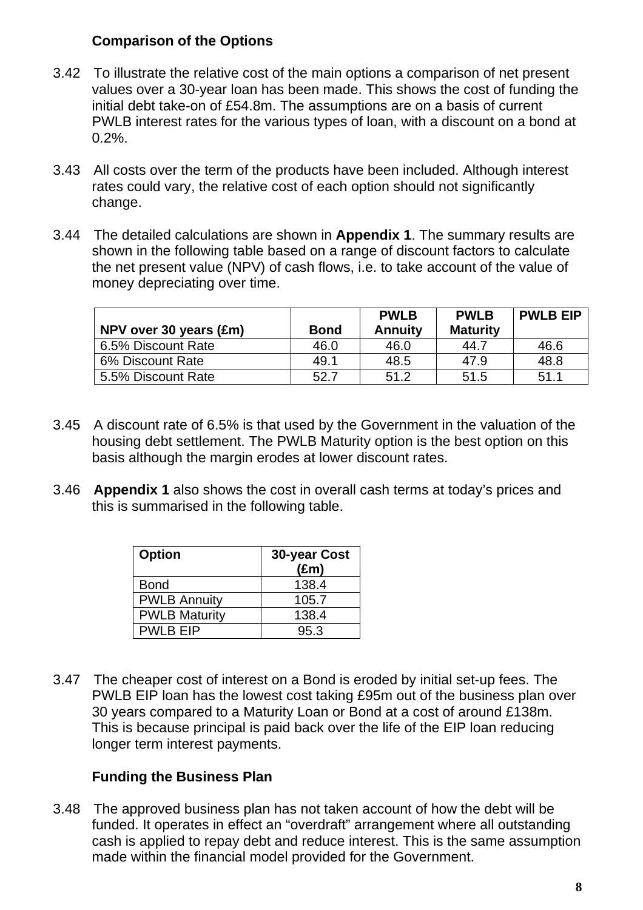#### **Comparison of the Options**

- 3.42 To illustrate the relative cost of the main options a comparison of net present values over a 30-year loan has been made. This shows the cost of funding the initial debt take-on of £54.8m. The assumptions are on a basis of current PWLB interest rates for the various types of loan, with a discount on a bond at  $0.2\%$ .
- 3.43 All costs over the term of the products have been included. Although interest rates could vary, the relative cost of each option should not significantly change.
- 3.44 The detailed calculations are shown in **Appendix 1**. The summary results are shown in the following table based on a range of discount factors to calculate the net present value (NPV) of cash flows, i.e. to take account of the value of money depreciating over time.

|                        |             | <b>PWLB</b>    | <b>PWLB</b>     | <b>PWLB EIP</b> |
|------------------------|-------------|----------------|-----------------|-----------------|
| NPV over 30 years (£m) | <b>Bond</b> | <b>Annuity</b> | <b>Maturity</b> |                 |
| 6.5% Discount Rate     | 46.0        | 46.0           | 44.7            | 46.6            |
| 6% Discount Rate       | 49.1        | 48.5           | 47.9            | 48.8            |
| 5.5% Discount Rate     | 52.7        | 51.2           | 51.5            | 51.1            |

- 3.45 A discount rate of 6.5% is that used by the Government in the valuation of the housing debt settlement. The PWLB Maturity option is the best option on this basis although the margin erodes at lower discount rates.
- 3.46 **Appendix 1** also shows the cost in overall cash terms at today's prices and this is summarised in the following table.

| <b>Option</b>        | 30-year Cost  |  |  |
|----------------------|---------------|--|--|
|                      | $(\text{Em})$ |  |  |
| <b>Bond</b>          | 138.4         |  |  |
| <b>PWLB Annuity</b>  | 105.7         |  |  |
| <b>PWLB Maturity</b> | 138.4         |  |  |
| <b>PWLB EIP</b>      | 95.3          |  |  |

3.47 The cheaper cost of interest on a Bond is eroded by initial set-up fees. The PWLB EIP loan has the lowest cost taking £95m out of the business plan over 30 years compared to a Maturity Loan or Bond at a cost of around £138m. This is because principal is paid back over the life of the EIP loan reducing longer term interest payments.

### **Funding the Business Plan**

3.48 The approved business plan has not taken account of how the debt will be funded. It operates in effect an "overdraft" arrangement where all outstanding cash is applied to repay debt and reduce interest. This is the same assumption made within the financial model provided for the Government.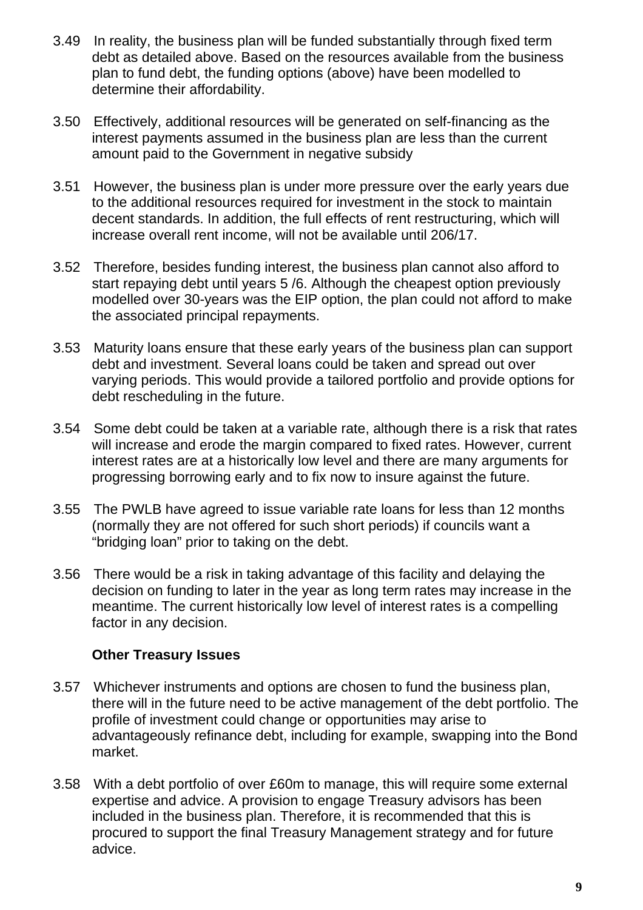- 3.49 In reality, the business plan will be funded substantially through fixed term debt as detailed above. Based on the resources available from the business plan to fund debt, the funding options (above) have been modelled to determine their affordability.
- 3.50 Effectively, additional resources will be generated on self-financing as the interest payments assumed in the business plan are less than the current amount paid to the Government in negative subsidy
- 3.51 However, the business plan is under more pressure over the early years due to the additional resources required for investment in the stock to maintain decent standards. In addition, the full effects of rent restructuring, which will increase overall rent income, will not be available until 206/17.
- 3.52 Therefore, besides funding interest, the business plan cannot also afford to start repaying debt until years 5 /6. Although the cheapest option previously modelled over 30-years was the EIP option, the plan could not afford to make the associated principal repayments.
- 3.53 Maturity loans ensure that these early years of the business plan can support debt and investment. Several loans could be taken and spread out over varying periods. This would provide a tailored portfolio and provide options for debt rescheduling in the future.
- 3.54 Some debt could be taken at a variable rate, although there is a risk that rates will increase and erode the margin compared to fixed rates. However, current interest rates are at a historically low level and there are many arguments for progressing borrowing early and to fix now to insure against the future.
- 3.55 The PWLB have agreed to issue variable rate loans for less than 12 months (normally they are not offered for such short periods) if councils want a "bridging loan" prior to taking on the debt.
- 3.56 There would be a risk in taking advantage of this facility and delaying the decision on funding to later in the year as long term rates may increase in the meantime. The current historically low level of interest rates is a compelling factor in any decision.

### **Other Treasury Issues**

- 3.57 Whichever instruments and options are chosen to fund the business plan, there will in the future need to be active management of the debt portfolio. The profile of investment could change or opportunities may arise to advantageously refinance debt, including for example, swapping into the Bond market.
- 3.58 With a debt portfolio of over £60m to manage, this will require some external expertise and advice. A provision to engage Treasury advisors has been included in the business plan. Therefore, it is recommended that this is procured to support the final Treasury Management strategy and for future advice.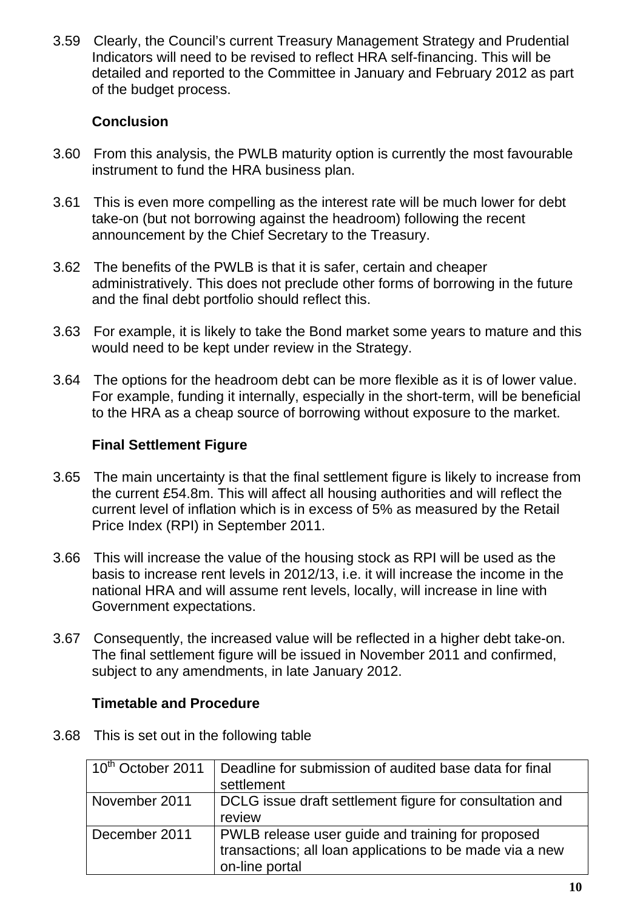3.59 Clearly, the Council's current Treasury Management Strategy and Prudential Indicators will need to be revised to reflect HRA self-financing. This will be detailed and reported to the Committee in January and February 2012 as part of the budget process.

## **Conclusion**

- 3.60 From this analysis, the PWLB maturity option is currently the most favourable instrument to fund the HRA business plan.
- 3.61 This is even more compelling as the interest rate will be much lower for debt take-on (but not borrowing against the headroom) following the recent announcement by the Chief Secretary to the Treasury.
- 3.62 The benefits of the PWLB is that it is safer, certain and cheaper administratively. This does not preclude other forms of borrowing in the future and the final debt portfolio should reflect this.
- 3.63 For example, it is likely to take the Bond market some years to mature and this would need to be kept under review in the Strategy.
- 3.64 The options for the headroom debt can be more flexible as it is of lower value. For example, funding it internally, especially in the short-term, will be beneficial to the HRA as a cheap source of borrowing without exposure to the market.

### **Final Settlement Figure**

- 3.65 The main uncertainty is that the final settlement figure is likely to increase from the current £54.8m. This will affect all housing authorities and will reflect the current level of inflation which is in excess of 5% as measured by the Retail Price Index (RPI) in September 2011.
- 3.66 This will increase the value of the housing stock as RPI will be used as the basis to increase rent levels in 2012/13, i.e. it will increase the income in the national HRA and will assume rent levels, locally, will increase in line with Government expectations.
- 3.67 Consequently, the increased value will be reflected in a higher debt take-on. The final settlement figure will be issued in November 2011 and confirmed, subject to any amendments, in late January 2012.

### **Timetable and Procedure**

3.68 This is set out in the following table

| 10 <sup>th</sup> October 2011 | Deadline for submission of audited base data for final<br>settlement                                                            |
|-------------------------------|---------------------------------------------------------------------------------------------------------------------------------|
| November 2011                 | DCLG issue draft settlement figure for consultation and<br>review                                                               |
| December 2011                 | PWLB release user guide and training for proposed<br>transactions; all loan applications to be made via a new<br>on-line portal |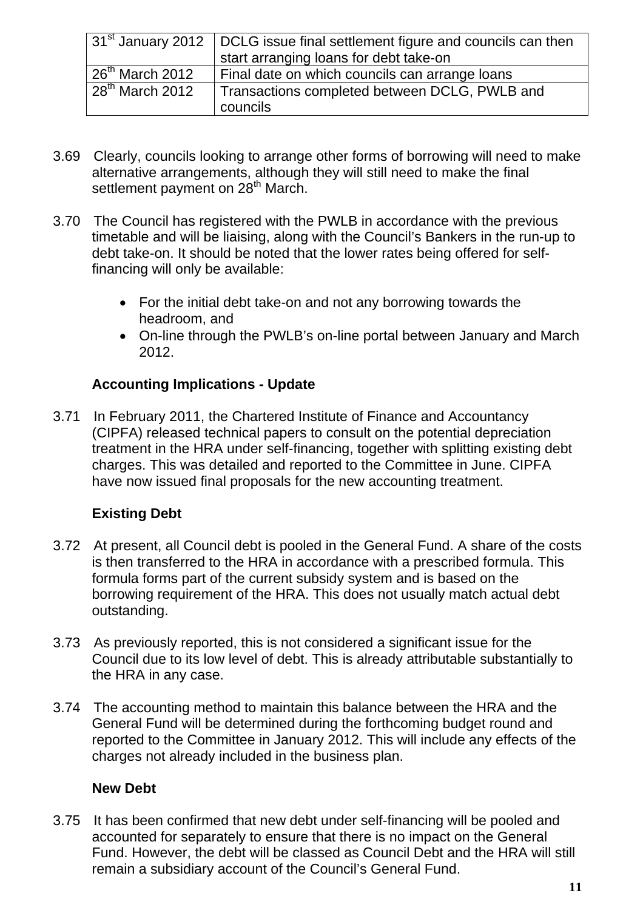|                   | $31st$ January 2012   DCLG issue final settlement figure and councils can then<br>start arranging loans for debt take-on |
|-------------------|--------------------------------------------------------------------------------------------------------------------------|
| $26th$ March 2012 | Final date on which councils can arrange loans                                                                           |
| $28th$ March 2012 | Transactions completed between DCLG, PWLB and<br>councils                                                                |

- 3.69 Clearly, councils looking to arrange other forms of borrowing will need to make alternative arrangements, although they will still need to make the final settlement payment on 28<sup>th</sup> March.
- 3.70 The Council has registered with the PWLB in accordance with the previous timetable and will be liaising, along with the Council's Bankers in the run-up to debt take-on. It should be noted that the lower rates being offered for selffinancing will only be available:
	- For the initial debt take-on and not any borrowing towards the headroom, and
	- On-line through the PWLB's on-line portal between January and March 2012.

# **Accounting Implications - Update**

3.71 In February 2011, the Chartered Institute of Finance and Accountancy (CIPFA) released technical papers to consult on the potential depreciation treatment in the HRA under self-financing, together with splitting existing debt charges. This was detailed and reported to the Committee in June. CIPFA have now issued final proposals for the new accounting treatment.

# **Existing Debt**

- 3.72 At present, all Council debt is pooled in the General Fund. A share of the costs is then transferred to the HRA in accordance with a prescribed formula. This formula forms part of the current subsidy system and is based on the borrowing requirement of the HRA. This does not usually match actual debt outstanding.
- 3.73 As previously reported, this is not considered a significant issue for the Council due to its low level of debt. This is already attributable substantially to the HRA in any case.
- 3.74 The accounting method to maintain this balance between the HRA and the General Fund will be determined during the forthcoming budget round and reported to the Committee in January 2012. This will include any effects of the charges not already included in the business plan.

# **New Debt**

3.75 It has been confirmed that new debt under self-financing will be pooled and accounted for separately to ensure that there is no impact on the General Fund. However, the debt will be classed as Council Debt and the HRA will still remain a subsidiary account of the Council's General Fund.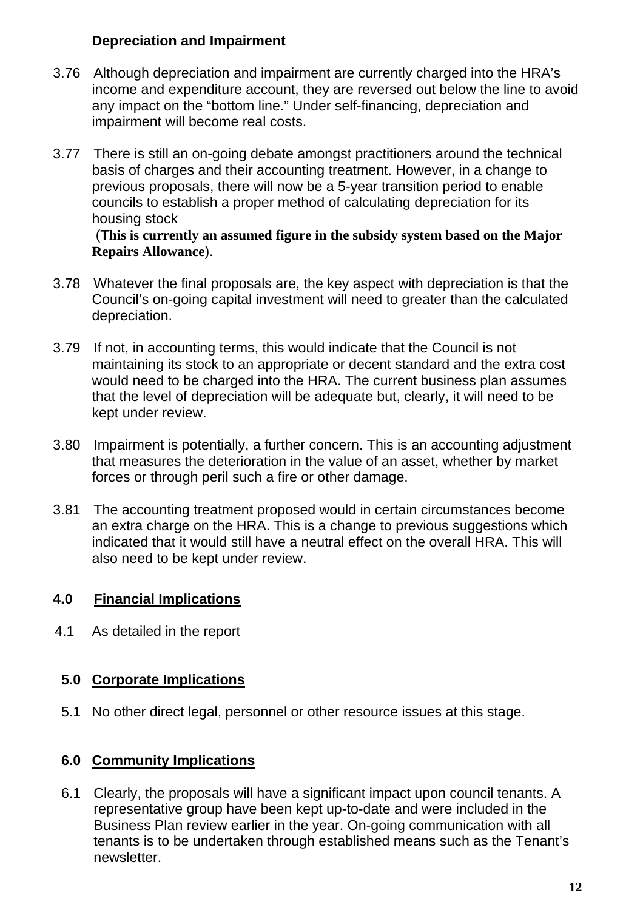### **Depreciation and Impairment**

- 3.76 Although depreciation and impairment are currently charged into the HRA's income and expenditure account, they are reversed out below the line to avoid any impact on the "bottom line." Under self-financing, depreciation and impairment will become real costs.
- 3.77 There is still an on-going debate amongst practitioners around the technical basis of charges and their accounting treatment. However, in a change to previous proposals, there will now be a 5-year transition period to enable councils to establish a proper method of calculating depreciation for its housing stock

#### (**This is currently an assumed figure in the subsidy system based on the Major Repairs Allowance**).

- 3.78 Whatever the final proposals are, the key aspect with depreciation is that the Council's on-going capital investment will need to greater than the calculated depreciation.
- 3.79 If not, in accounting terms, this would indicate that the Council is not maintaining its stock to an appropriate or decent standard and the extra cost would need to be charged into the HRA. The current business plan assumes that the level of depreciation will be adequate but, clearly, it will need to be kept under review.
- 3.80 Impairment is potentially, a further concern. This is an accounting adjustment that measures the deterioration in the value of an asset, whether by market forces or through peril such a fire or other damage.
- 3.81 The accounting treatment proposed would in certain circumstances become an extra charge on the HRA. This is a change to previous suggestions which indicated that it would still have a neutral effect on the overall HRA. This will also need to be kept under review.

# **4.0 Financial Implications**

4.1 As detailed in the report

# **5.0 Corporate Implications**

5.1 No other direct legal, personnel or other resource issues at this stage.

# **6.0 Community Implications**

6.1 Clearly, the proposals will have a significant impact upon council tenants. A representative group have been kept up-to-date and were included in the Business Plan review earlier in the year. On-going communication with all tenants is to be undertaken through established means such as the Tenant's newsletter.